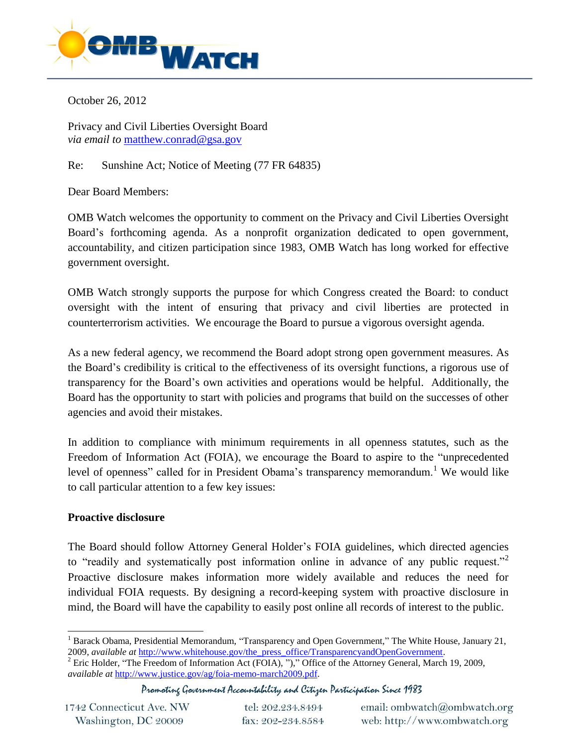

October 26, 2012

Privacy and Civil Liberties Oversight Board *via email to* [matthew.conrad@gsa.gov](mailto:matthew.conrad@gsa.gov)

Re: Sunshine Act; Notice of Meeting (77 FR 64835)

Dear Board Members:

OMB Watch welcomes the opportunity to comment on the Privacy and Civil Liberties Oversight Board's forthcoming agenda. As a nonprofit organization dedicated to open government, accountability, and citizen participation since 1983, OMB Watch has long worked for effective government oversight.

OMB Watch strongly supports the purpose for which Congress created the Board: to conduct oversight with the intent of ensuring that privacy and civil liberties are protected in counterterrorism activities. We encourage the Board to pursue a vigorous oversight agenda.

As a new federal agency, we recommend the Board adopt strong open government measures. As the Board's credibility is critical to the effectiveness of its oversight functions, a rigorous use of transparency for the Board's own activities and operations would be helpful. Additionally, the Board has the opportunity to start with policies and programs that build on the successes of other agencies and avoid their mistakes.

In addition to compliance with minimum requirements in all openness statutes, such as the Freedom of Information Act (FOIA), we encourage the Board to aspire to the "unprecedented level of openness" called for in President Obama's transparency memorandum.<sup>1</sup> We would like to call particular attention to a few key issues:

## **Proactive disclosure**

The Board should follow Attorney General Holder's FOIA guidelines, which directed agencies to "readily and systematically post information online in advance of any public request."<sup>2</sup> Proactive disclosure makes information more widely available and reduces the need for individual FOIA requests. By designing a record-keeping system with proactive disclosure in mind, the Board will have the capability to easily post online all records of interest to the public.

Promoting Government Accountability and Citizen Participation Since 1983

1742 Connecticut Ave. NW Washington, DC 20009

 <sup>1</sup> Barack Obama, Presidential Memorandum, "Transparency and Open Government," The White House, January 21, 2009, *available at* [http://www.whitehouse.gov/the\\_press\\_office/TransparencyandOpenGovernment.](http://www.whitehouse.gov/the_press_office/TransparencyandOpenGovernment)

<sup>&</sup>lt;sup>2</sup> Eric Holder, "The Freedom of Information Act (FOIA), ")," Office of the Attorney General, March 19, 2009, *available at* [http://www.justice.gov/ag/foia-memo-march2009.pdf.](http://www.justice.gov/ag/foia-memo-march2009.pdf)